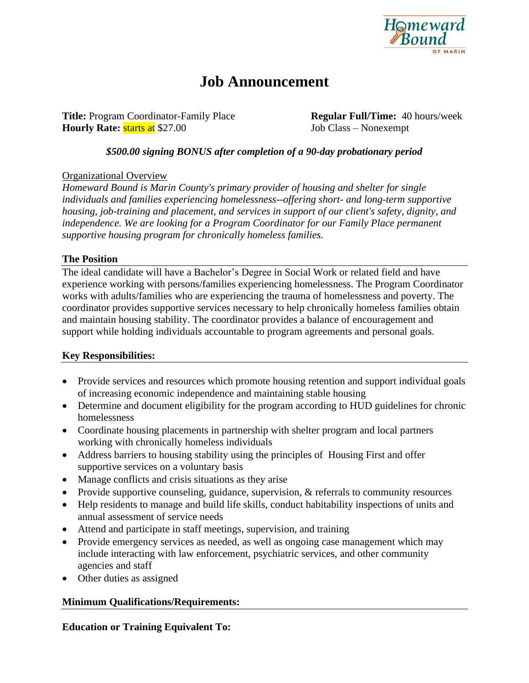

# **Job Announcement**

**Title:** Program Coordinator-Family Place **Regular Full/Time:** 40 hours/week **Hourly Rate: starts at** \$27.00 Job Class – Nonexempt

# *\$500.00 signing BONUS after completion of a 90-day probationary period*

## Organizational Overview

*Homeward Bound is Marin County's primary provider of housing and shelter for single individuals and families experiencing homelessness--offering short- and long-term supportive housing, job-training and placement, and services in support of our client's safety, dignity, and independence. We are looking for a Program Coordinator for our Family Place permanent supportive housing program for chronically homeless families.* 

#### **The Position**

The ideal candidate will have a Bachelor's Degree in Social Work or related field and have experience working with persons/families experiencing homelessness. The Program Coordinator works with adults/families who are experiencing the trauma of homelessness and poverty. The coordinator provides supportive services necessary to help chronically homeless families obtain and maintain housing stability. The coordinator provides a balance of encouragement and support while holding individuals accountable to program agreements and personal goals.

## **Key Responsibilities:**

- Provide services and resources which promote housing retention and support individual goals of increasing economic independence and maintaining stable housing
- Determine and document eligibility for the program according to HUD guidelines for chronic homelessness
- Coordinate housing placements in partnership with shelter program and local partners working with chronically homeless individuals
- Address barriers to housing stability using the principles of Housing First and offer supportive services on a voluntary basis
- Manage conflicts and crisis situations as they arise
- Provide supportive counseling, guidance, supervision, & referrals to community resources
- Help residents to manage and build life skills, conduct habitability inspections of units and annual assessment of service needs
- Attend and participate in staff meetings, supervision, and training
- Provide emergency services as needed, as well as ongoing case management which may include interacting with law enforcement, psychiatric services, and other community agencies and staff
- Other duties as assigned

## **Minimum Qualifications/Requirements:**

**Education or Training Equivalent To:**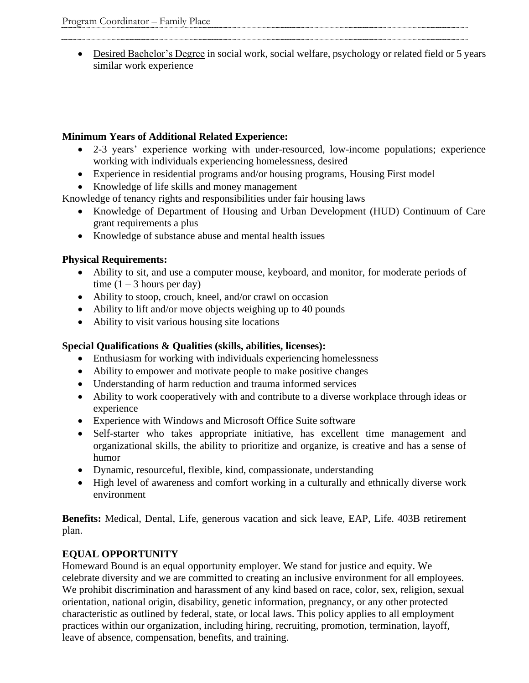• Desired Bachelor's Degree in social work, social welfare, psychology or related field or 5 years similar work experience

# **Minimum Years of Additional Related Experience:**

- 2-3 years' experience working with under-resourced, low-income populations; experience working with individuals experiencing homelessness, desired
- Experience in residential programs and/or housing programs, Housing First model
- Knowledge of life skills and money management

Knowledge of tenancy rights and responsibilities under fair housing laws

- Knowledge of Department of Housing and Urban Development (HUD) Continuum of Care grant requirements a plus
- Knowledge of substance abuse and mental health issues

# **Physical Requirements:**

- Ability to sit, and use a computer mouse, keyboard, and monitor, for moderate periods of time  $(1 – 3$  hours per day)
- Ability to stoop, crouch, kneel, and/or crawl on occasion
- Ability to lift and/or move objects weighing up to 40 pounds
- Ability to visit various housing site locations

# **Special Qualifications & Qualities (skills, abilities, licenses):**

- Enthusiasm for working with individuals experiencing homelessness
- Ability to empower and motivate people to make positive changes
- Understanding of harm reduction and trauma informed services
- Ability to work cooperatively with and contribute to a diverse workplace through ideas or experience
- Experience with Windows and Microsoft Office Suite software
- Self-starter who takes appropriate initiative, has excellent time management and organizational skills, the ability to prioritize and organize, is creative and has a sense of humor
- Dynamic, resourceful, flexible, kind, compassionate, understanding
- High level of awareness and comfort working in a culturally and ethnically diverse work environment

**Benefits:** Medical, Dental, Life, generous vacation and sick leave, EAP, Life. 403B retirement plan.

# **EQUAL OPPORTUNITY**

Homeward Bound is an equal opportunity employer. We stand for justice and equity. We celebrate diversity and we are committed to creating an inclusive environment for all employees. We prohibit discrimination and harassment of any kind based on race, color, sex, religion, sexual orientation, national origin, disability, genetic information, pregnancy, or any other protected characteristic as outlined by federal, state, or local laws. This policy applies to all employment practices within our organization, including hiring, recruiting, promotion, termination, layoff, leave of absence, compensation, benefits, and training.